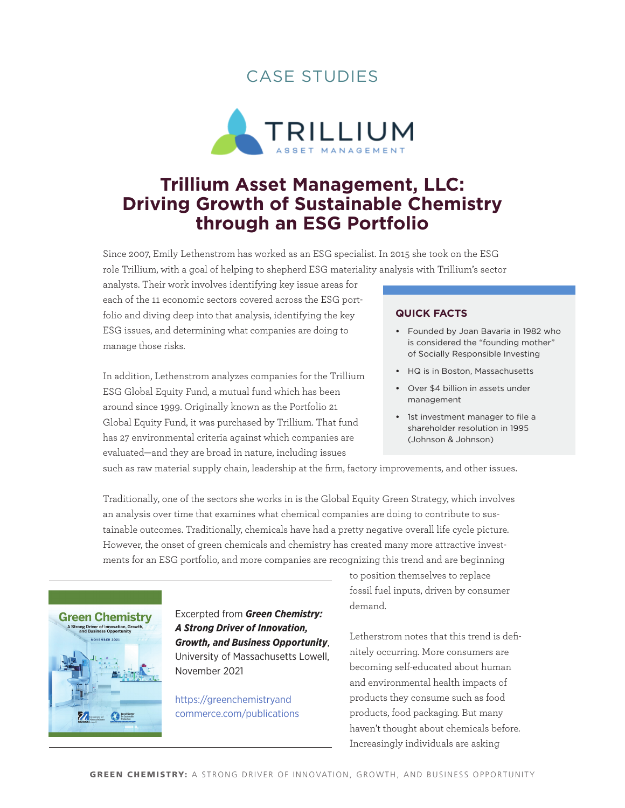## case studies



# **Trillium Asset Management, LLC: Driving Growth of Sustainable Chemistry through an ESG Portfolio**

Since 2007, Emily Lethenstrom has worked as an ESG specialist. In 2015 she took on the ESG role Trillium, with a goal of helping to shepherd ESG materiality analysis with Trillium's sector

analysts. Their work involves identifying key issue areas for each of the 11 economic sectors covered across the ESG portfolio and diving deep into that analysis, identifying the key ESG issues, and determining what companies are doing to manage those risks.

In addition, Lethenstrom analyzes companies for the Trillium ESG Global Equity Fund, a mutual fund which has been around since 1999. Originally known as the Portfolio 21 Global Equity Fund, it was purchased by Trillium. That fund has 27 environmental criteria against which companies are evaluated—and they are broad in nature, including issues

#### **quick Facts**

- **•**  Founded by Joan Bavaria in 1982 who is considered the "founding mother" of Socially Responsible Investing
- **•**  HQ is in Boston, Massachusetts
- **•**  Over \$4 billion in assets under management
- **•**  1st investment manager to file a shareholder resolution in 1995 (Johnson & Johnson)

such as raw material supply chain, leadership at the firm, factory improvements, and other issues.

Traditionally, one of the sectors she works in is the Global Equity Green Strategy, which involves an analysis over time that examines what chemical companies are doing to contribute to sustainable outcomes. Traditionally, chemicals have had a pretty negative overall life cycle picture. However, the onset of green chemicals and chemistry has created many more attractive investments for an ESG portfolio, and more companies are recognizing this trend and are beginning



### Excerpted from *Green Chemistry: A Strong Driver of Innovation, Growth, and Business Opportunity*,

University of Massachusetts Lowell, November 2021

[https://greenchemistryand](https://greenchemistryandcommerce.com/publications) [commerce.com/publications](https://greenchemistryandcommerce.com/publications) to position themselves to replace fossil fuel inputs, driven by consumer demand.

Letherstrom notes that this trend is definitely occurring. More consumers are becoming self-educated about human and environmental health impacts of products they consume such as food products, food packaging. But many haven't thought about chemicals before. Increasingly individuals are asking